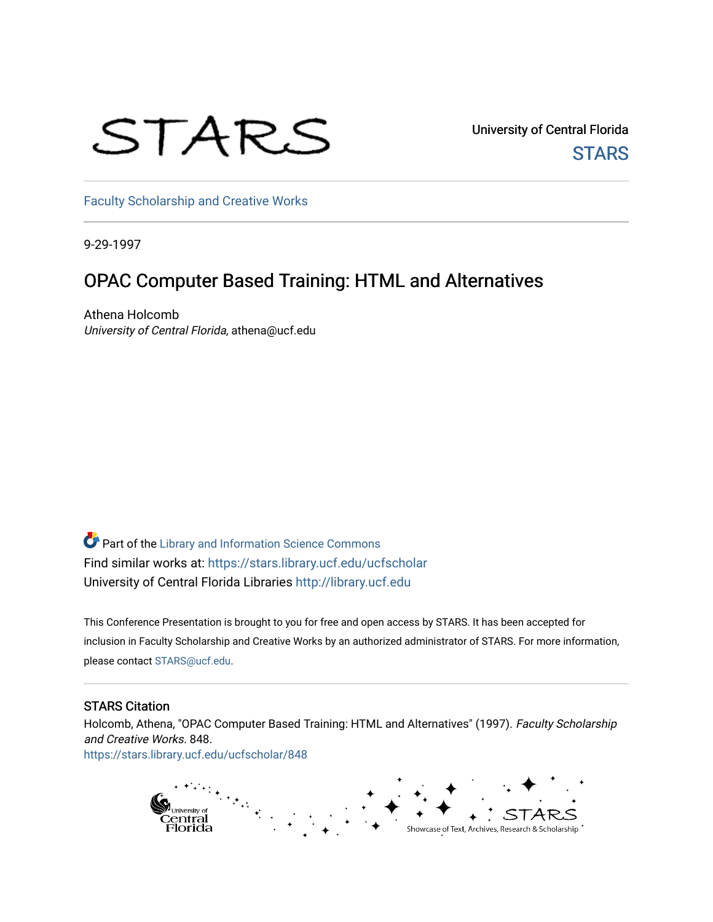# STARS

University of Central Florida **STARS** 

[Faculty Scholarship and Creative Works](https://stars.library.ucf.edu/ucfscholar) 

9-29-1997

#### OPAC Computer Based Training: HTML and Alternatives

Athena Holcomb University of Central Florida, athena@ucf.edu

Part of the [Library and Information Science Commons](http://network.bepress.com/hgg/discipline/1018?utm_source=stars.library.ucf.edu%2Fucfscholar%2F848&utm_medium=PDF&utm_campaign=PDFCoverPages)  Find similar works at: <https://stars.library.ucf.edu/ucfscholar> University of Central Florida Libraries [http://library.ucf.edu](http://library.ucf.edu/) 

This Conference Presentation is brought to you for free and open access by STARS. It has been accepted for inclusion in Faculty Scholarship and Creative Works by an authorized administrator of STARS. For more information, please contact [STARS@ucf.edu](mailto:STARS@ucf.edu).

#### STARS Citation

Holcomb, Athena, "OPAC Computer Based Training: HTML and Alternatives" (1997). Faculty Scholarship and Creative Works. 848. [https://stars.library.ucf.edu/ucfscholar/848](https://stars.library.ucf.edu/ucfscholar/848?utm_source=stars.library.ucf.edu%2Fucfscholar%2F848&utm_medium=PDF&utm_campaign=PDFCoverPages)

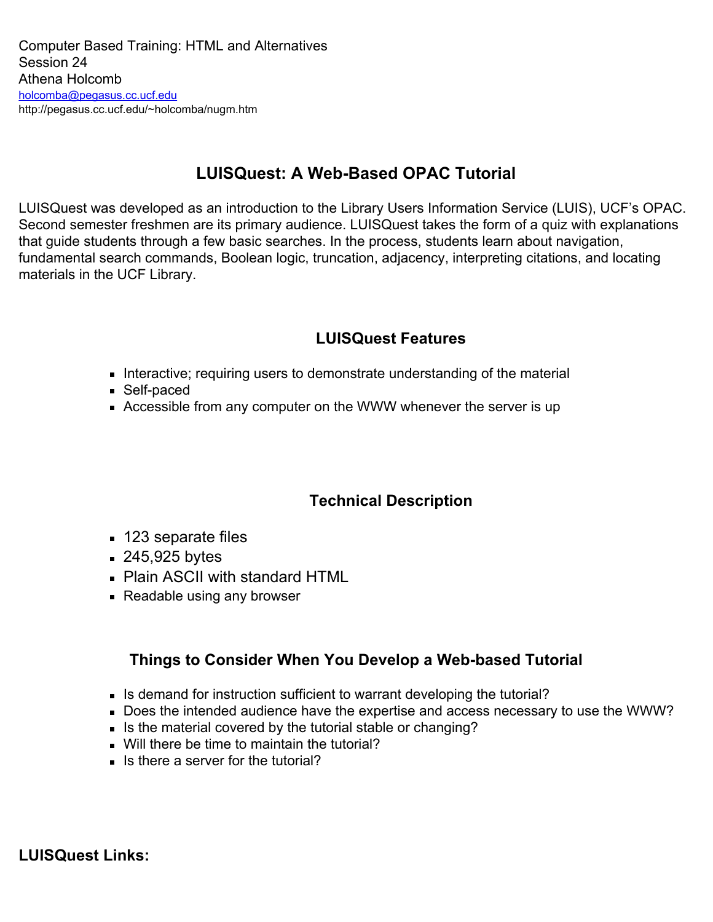#### **LUISQuest: A Web-Based OPAC Tutorial**

LUISQuest was developed as an introduction to the Library Users Information Service (LUIS), UCF's OPAC. Second semester freshmen are its primary audience. LUISQuest takes the form of a quiz with explanations that guide students through a few basic searches. In the process, students learn about navigation, fundamental search commands, Boolean logic, truncation, adjacency, interpreting citations, and locating materials in the UCF Library.

#### **LUISQuest Features**

- Interactive; requiring users to demonstrate understanding of the material
- Self-paced
- Accessible from any computer on the WWW whenever the server is up

#### **Technical Description**

- 123 separate files
- **245,925 bytes**
- Plain ASCII with standard HTML
- **Readable using any browser**

#### **Things to Consider When You Develop a Web-based Tutorial**

- Is demand for instruction sufficient to warrant developing the tutorial?
- Does the intended audience have the expertise and access necessary to use the WWW?
- Is the material covered by the tutorial stable or changing?
- Will there be time to maintain the tutorial?
- $\blacksquare$  Is there a server for the tutorial?

**LUISQuest Links:**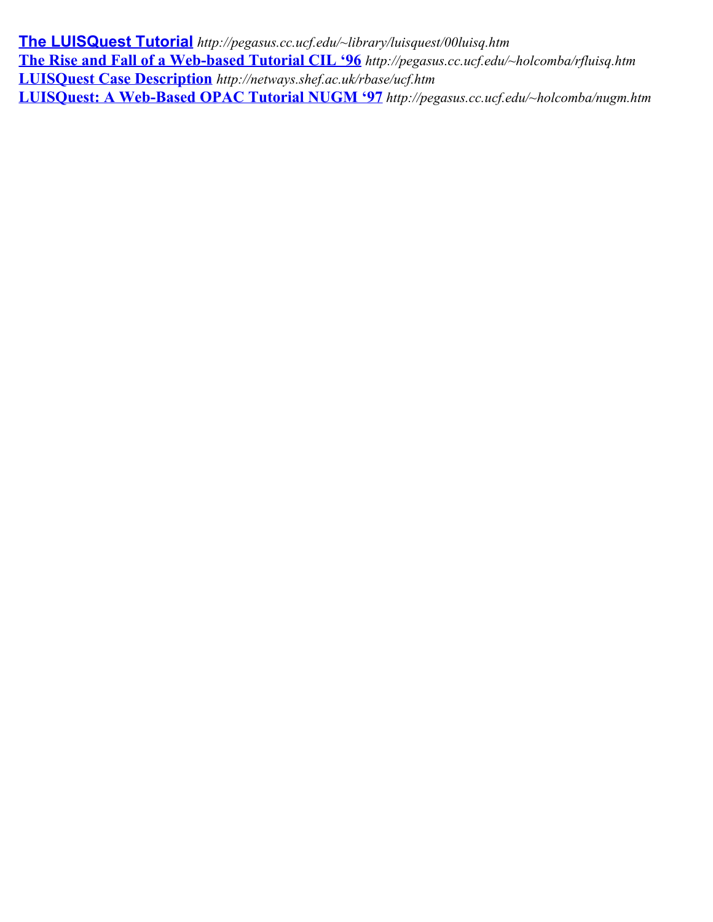**The [LUISQuest Tutorial](http://pegasus.cc.ucf.edu/~library/luisquest/00luisq.htm)** *http://pegasus.cc.ucf.edu/~library/luisquest/00luisq.htm* **The [Rise and Fall of a Web-based Tutorial CIL '96](http://pegasus.cc.ucf.edu/~holcomba/rfluisq.htm)** *http://pegasus.cc.ucf.edu/~holcomba/rfluisq.htm* **LUISQuest [Case Description](http://netways.shef.ac.uk/rbase/ucf.htm)** *http://netways.shef.ac.uk/rbase/ucf.htm* **LUISQuest: [A Web-Based OPAC Tutorial NUGM '97](http://pegasus.cc.ucf.edu/~holcomba/nugm.htm)** *http://pegasus.cc.ucf.edu/~holcomba/nugm.htm*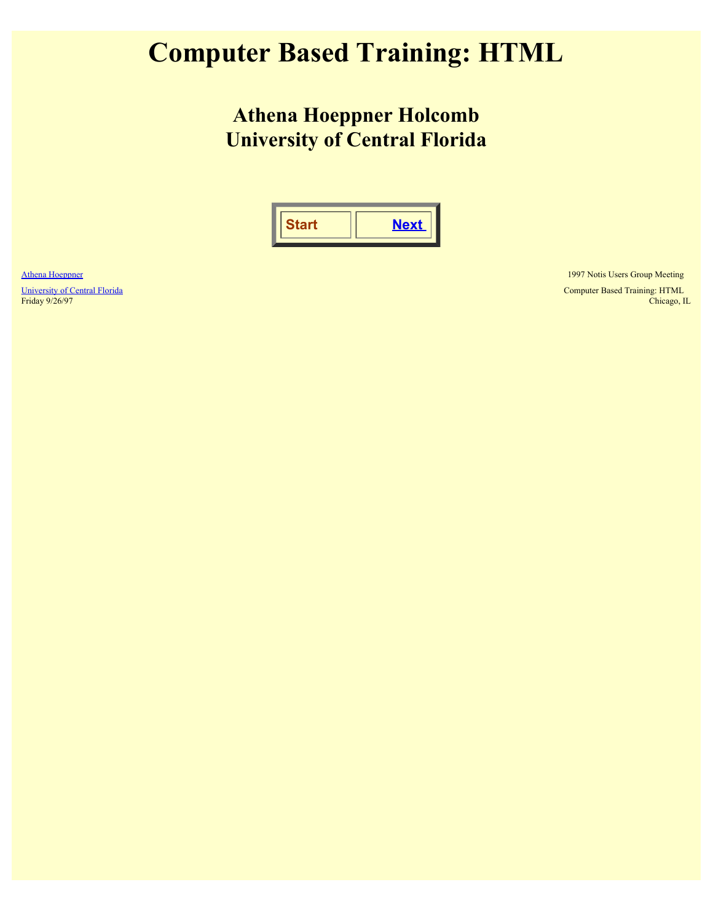### <span id="page-3-0"></span>**Computer Based Training: HTML**

**Athena Hoeppner Holcomb University of Central Florida**

|--|--|

[Athena Hoeppner](mailto:holcomba@pegasus.cc.ucf.edu)

[University of Central Florida](http://www.ucf.edu/) Friday 9/26/97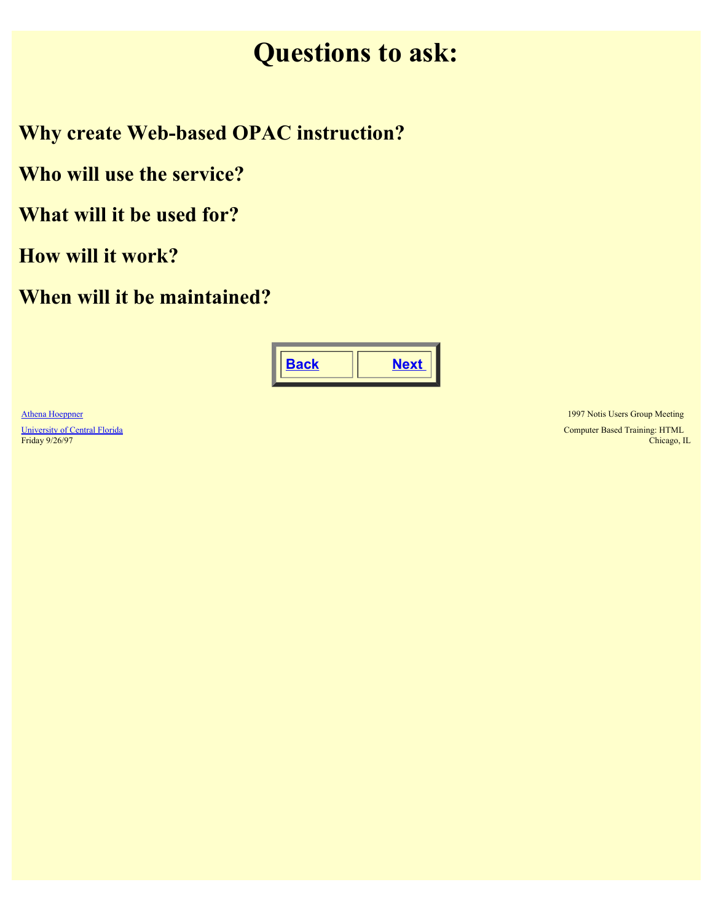### **Questions to ask:**

<span id="page-4-0"></span>**Why create Web-based OPAC instruction?**

**Who will use the service?**

**What will it be used for?**

**How will it work?**

**When will it be maintained?**



[Athena Hoeppner](mailto:holcomba@pegasus.cc.ucf.edu) [University of Central Florida](http://www.ucf.edu/) Friday 9/26/97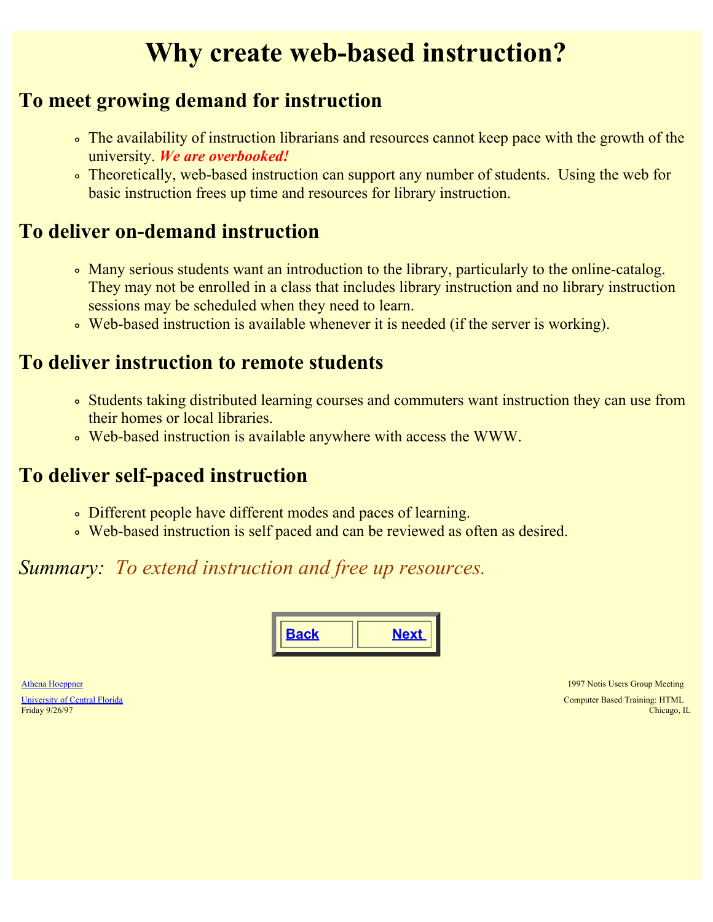### **Why create web-based instruction?**

### <span id="page-5-0"></span>**To meet growing demand for instruction**

- The availability of instruction librarians and resources cannot keep pace with the growth of the university. *We are overbooked!*
- Theoretically, web-based instruction can support any number of students. Using the web for basic instruction frees up time and resources for library instruction.

### **To deliver on-demand instruction**

- Many serious students want an introduction to the library, particularly to the online-catalog. They may not be enrolled in a class that includes library instruction and no library instruction sessions may be scheduled when they need to learn.
- Web-based instruction is available whenever it is needed (if the server is working).

### **To deliver instruction to remote students**

- Students taking distributed learning courses and commuters want instruction they can use from their homes or local libraries.
- Web-based instruction is available anywhere with access the WWW.

### **To deliver self-paced instruction**

- Different people have different modes and paces of learning.
- Web-based instruction is self paced and can be reviewed as often as desired.

### *Summary: To extend instruction and free up resources.*

|  |  | . .<br><u>.</u> |
|--|--|-----------------|
|--|--|-----------------|

[Athena Hoeppner](mailto:holcomba@pegasus.cc.ucf.edu) [University of Central Florida](http://www.ucf.edu/) Friday 9/26/97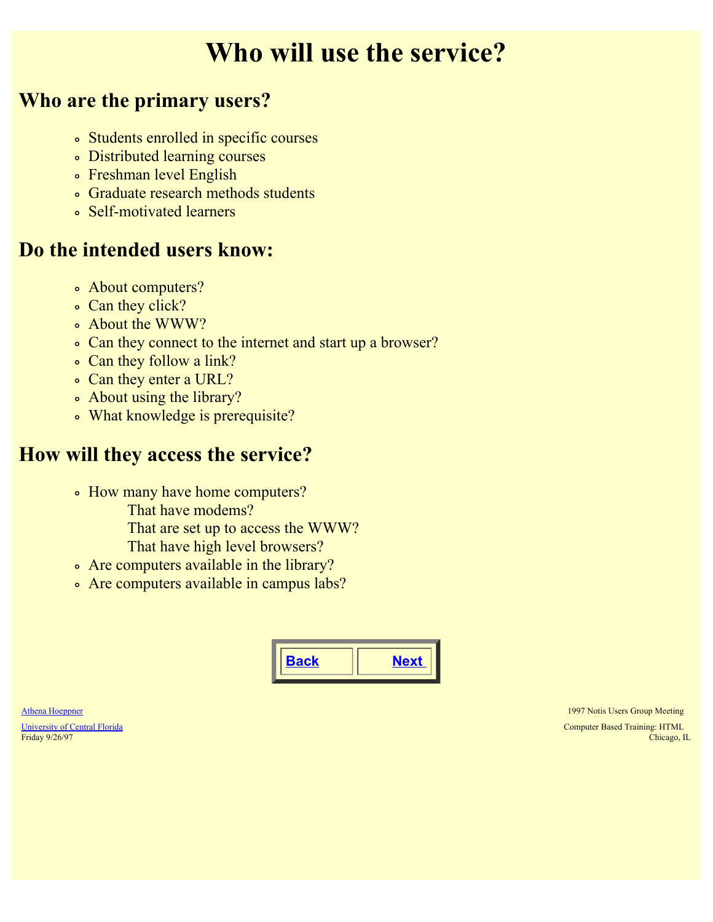### **Who will use the service?**

### <span id="page-6-0"></span>**Who are the primary users?**

- Students enrolled in specific courses
- Distributed learning courses
- Freshman level English
- Graduate research methods students
- Self-motivated learners

### **Do the intended users know:**

- About computers?
- Can they click?
- About the WWW?
- Can they connect to the internet and start up a browser?
- Can they follow a link?
- Can they enter a URL?
- About using the library?
- What knowledge is prerequisite?

### **How will they access the service?**

- How many have home computers?
	- That have modems?
	- That are set up to access the WWW?
	- That have high level browsers?
- Are computers available in the library?
- Are computers available in campus labs?



[Athena Hoeppner](mailto:holcomba@pegasus.cc.ucf.edu)

[University of Central Florida](http://www.ucf.edu/) Friday 9/26/97

1997 Notis Users Group Meeting

Computer Based Training: HTML Chicago, IL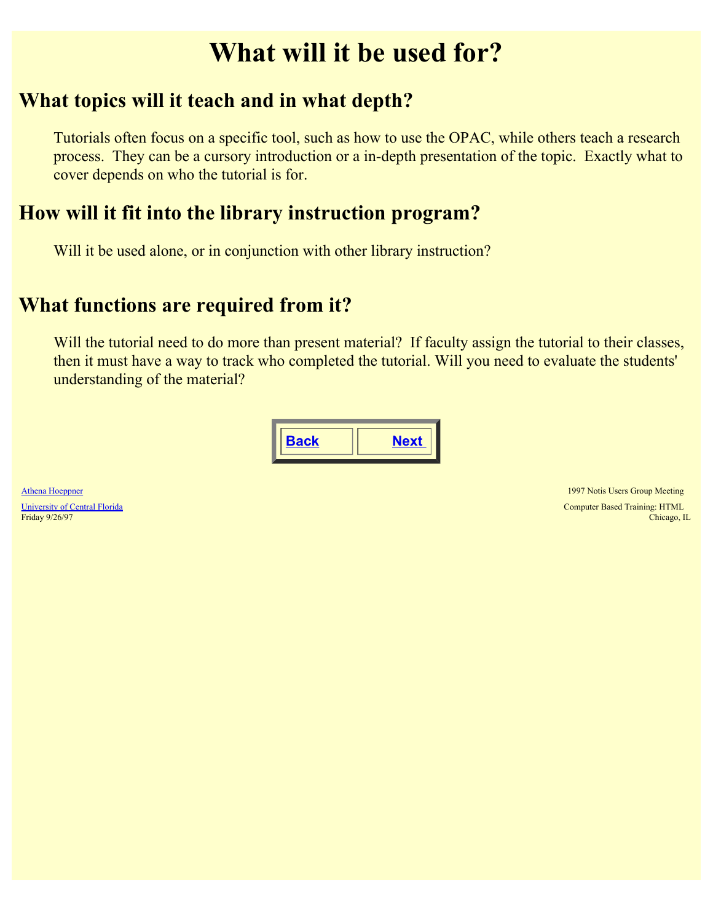### **What will it be used for?**

#### <span id="page-7-0"></span>**What topics will it teach and in what depth?**

Tutorials often focus on a specific tool, such as how to use the OPAC, while others teach a research process. They can be a cursory introduction or a in-depth presentation of the topic. Exactly what to cover depends on who the tutorial is for.

### **How will it fit into the library instruction program?**

Will it be used alone, or in conjunction with other library instruction?

### **What functions are required from it?**

Will the tutorial need to do more than present material? If faculty assign the tutorial to their classes, then it must have a way to track who completed the tutorial. Will you need to evaluate the students' understanding of the material?

|--|

[Athena Hoeppner](mailto:holcomba@pegasus.cc.ucf.edu) [University of Central Florida](http://www.ucf.edu/) Friday 9/26/97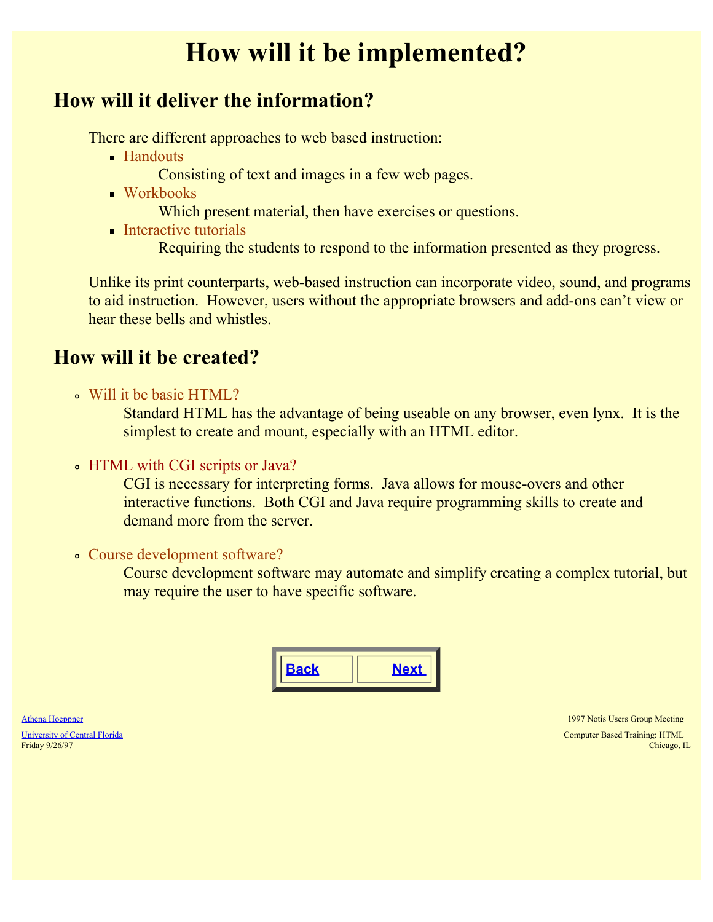### **How will it be implemented?**

#### <span id="page-8-0"></span>**How will it deliver the information?**

There are different approaches to web based instruction:

- **Handouts** 
	- Consisting of text and images in a few web pages.
- Workbooks
	- Which present material, then have exercises or questions.
- **Interactive tutorials**

Requiring the students to respond to the information presented as they progress.

Unlike its print counterparts, web-based instruction can incorporate video, sound, and programs to aid instruction. However, users without the appropriate browsers and add-ons can't view or hear these bells and whistles.

### **How will it be created?**

Will it be basic HTML?

Standard HTML has the advantage of being useable on any browser, even lynx. It is the simplest to create and mount, especially with an HTML editor.

• HTML with CGI scripts or Java?

CGI is necessary for interpreting forms. Java allows for mouse-overs and other interactive functions. Both CGI and Java require programming skills to create and demand more from the server.

Course development software?

Course development software may automate and simplify creating a complex tutorial, but may require the user to have specific software.

| ı<br>F | - 11 |
|--------|------|
|        |      |

| Athena Hoeppner               |
|-------------------------------|
| University of Central Florida |
| Friday 9/26/97                |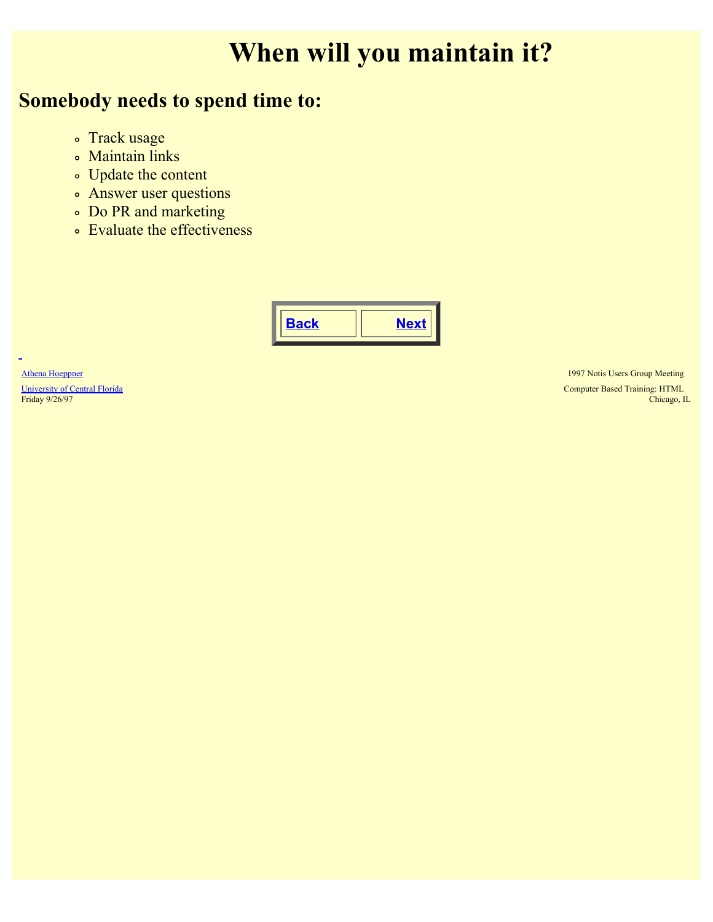## **When will you maintain it?**

### <span id="page-9-0"></span>**Somebody needs to spend time to:**

- Track usage
- Maintain links
- Update the content
- Answer user questions
- Do PR and marketing
- Evaluate the effectiveness



[Athena Hoeppner](mailto:holcomba@pegasus.cc.ucf.edu) [University of Central Florida](http://www.ucf.edu/) Friday 9/26/97